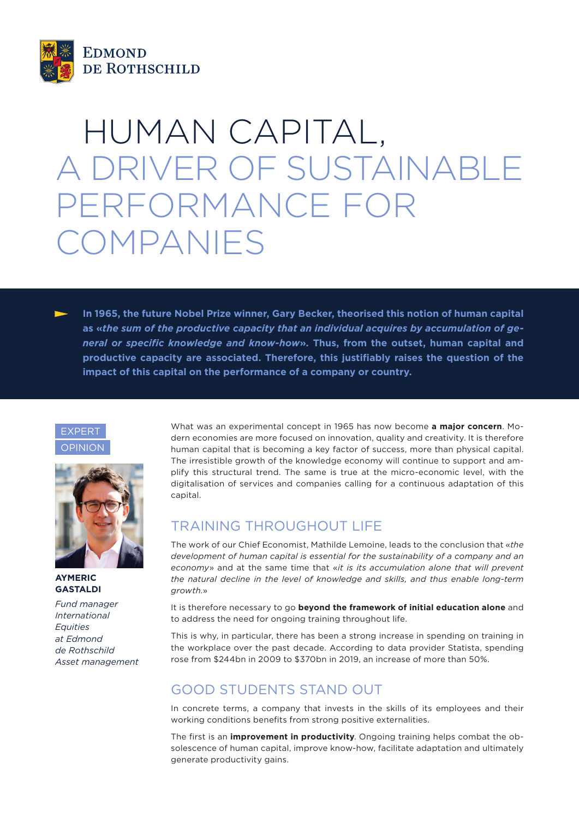

# HUMAN CAPITAL, A DRIVER OF SUSTAINABLE PERFORMANCE FOR COMPANIES

**In 1965, the future Nobel Prize winner, Gary Becker, theorised this notion of human capital as «***the sum of the productive capacity that an individual acquires by accumulation of general or specific knowledge and know-how***». Thus, from the outset, human capital and productive capacity are associated. Therefore, this justifiably raises the question of the impact of this capital on the performance of a company or country.**





#### **AYMERIC GASTALDI**

*Fund manager International Equities at Edmond de Rothschild Asset management* What was an experimental concept in 1965 has now become **a major concern**. Modern economies are more focused on innovation, quality and creativity. It is therefore human capital that is becoming a key factor of success, more than physical capital. The irresistible growth of the knowledge economy will continue to support and amplify this structural trend. The same is true at the micro-economic level, with the digitalisation of services and companies calling for a continuous adaptation of this capital.

## TRAINING THROUGHOUT LIFE

The work of our Chief Economist, Mathilde Lemoine, leads to the conclusion that «*the development of human capital is essential for the sustainability of a company and an economy*» and at the same time that «*it is its accumulation alone that will prevent the natural decline in the level of knowledge and skills, and thus enable long-term growth.*»

It is therefore necessary to go **beyond the framework of initial education alone** and to address the need for ongoing training throughout life.

This is why, in particular, there has been a strong increase in spending on training in the workplace over the past decade. According to data provider Statista, spending rose from \$244bn in 2009 to \$370bn in 2019, an increase of more than 50%.

## GOOD STUDENTS STAND OUT

In concrete terms, a company that invests in the skills of its employees and their working conditions benefits from strong positive externalities.

The first is an **improvement in productivity**. Ongoing training helps combat the obsolescence of human capital, improve know-how, facilitate adaptation and ultimately generate productivity gains.